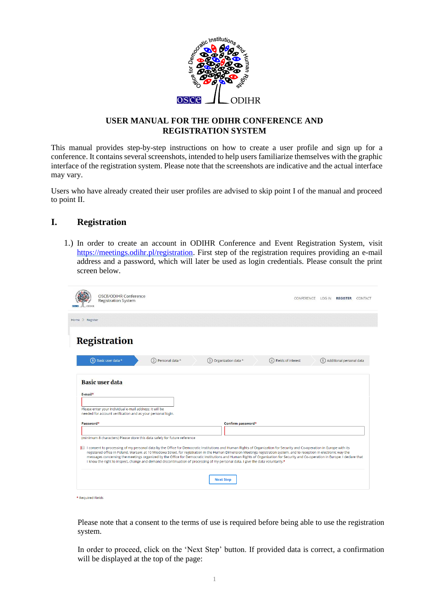

### **USER MANUAL FOR THE ODIHR CONFERENCE AND REGISTRATION SYSTEM**

This manual provides step-by-step instructions on how to create a user profile and sign up for a conference. It contains several screenshots, intended to help users familiarize themselves with the graphic interface of the registration system. Please note that the screenshots are indicative and the actual interface may vary.

Users who have already created their user profiles are advised to skip point I of the manual and proceed to point II.

### **I. Registration**

1.) In order to create an account in ODIHR Conference and Event Registration System, visit [https://meetings.odihr.pl/registration.](https://meetings.odihr.pl/registration) First step of the registration requires providing an e-mail address and a password, which will later be used as login credentials. Please consult the print screen below.

| OSCE/ODIHR Conference<br><b>Registration System</b>                                                                                                                     |                     |                                                                                                                                                                                                                                                                                                                                                                                                                                                                                             |                        | CONFERENCE LOG IN REGISTER CONTACT |
|-------------------------------------------------------------------------------------------------------------------------------------------------------------------------|---------------------|---------------------------------------------------------------------------------------------------------------------------------------------------------------------------------------------------------------------------------------------------------------------------------------------------------------------------------------------------------------------------------------------------------------------------------------------------------------------------------------------|------------------------|------------------------------------|
| Home Register                                                                                                                                                           |                     |                                                                                                                                                                                                                                                                                                                                                                                                                                                                                             |                        |                                    |
| Registration                                                                                                                                                            |                     |                                                                                                                                                                                                                                                                                                                                                                                                                                                                                             |                        |                                    |
| 1) Basic user data *                                                                                                                                                    | (2) Personal data * | (3) Organization data *                                                                                                                                                                                                                                                                                                                                                                                                                                                                     | (4) Fields of interest | (5) Additional personal data       |
| E-mail*<br>Please enter your individual e-mail address; it will be<br>needed for account verification and as your personal login.                                       |                     |                                                                                                                                                                                                                                                                                                                                                                                                                                                                                             |                        |                                    |
| Password*                                                                                                                                                               |                     | Confirm password*                                                                                                                                                                                                                                                                                                                                                                                                                                                                           |                        |                                    |
| (minimum 8 characters) Please store this data safely for future reference                                                                                               |                     |                                                                                                                                                                                                                                                                                                                                                                                                                                                                                             |                        |                                    |
| I consent to processing of my personal data by the Office for Democratic Institutions and Human Rights of Organization for Security and Co-operation in Europe with its |                     | registered office in Poland, Warsaw, at 10 Miodowa Street, for registration in the Human Dimension Meetings registration system, and to reception in electronic way the<br>messages concerning the meetings organized by the Office for Democratic Institutions and Human Rights of Organization for Security and Co-operation in Europe. I declare that<br>I know the right to inspect, change and demand discontinuation of processing of my personal data. I give the data voluntarily.* |                        |                                    |
|                                                                                                                                                                         |                     | <b>Next Step</b>                                                                                                                                                                                                                                                                                                                                                                                                                                                                            |                        |                                    |

\* Required Fields

Please note that a consent to the terms of use is required before being able to use the registration system.

In order to proceed, click on the 'Next Step' button. If provided data is correct, a confirmation will be displayed at the top of the page: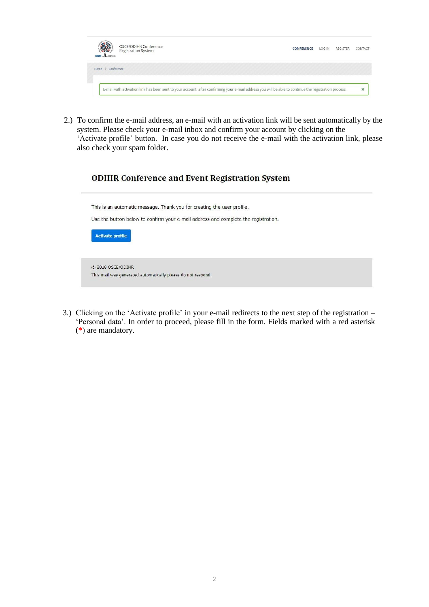

2.) To confirm the e-mail address, an e-mail with an activation link will be sent automatically by the system. Please check your e-mail inbox and confirm your account by clicking on the 'Activate profile' button. In case you do not receive the e-mail with the activation link, please also check your spam folder.

### **ODIHR Conference and Event Registration System**

This is an automatic message. Thank you for creating the user profile.

Use the button below to confirm your e-mail address and complete the registration.

| <b>Activate profile</b>                                      |
|--------------------------------------------------------------|
|                                                              |
|                                                              |
| C 2018 OSCE/ODIHR                                            |
| This mail was generated automatically please do not respond. |

3.) Clicking on the 'Activate profile' in your e-mail redirects to the next step of the registration – 'Personal data'. In order to proceed, please fill in the form. Fields marked with a red asterisk (**\***) are mandatory.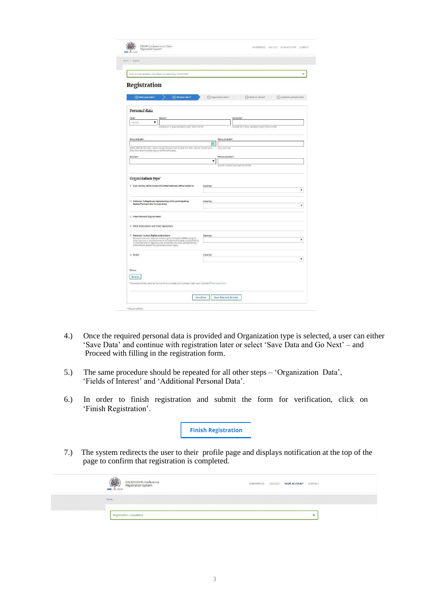| Your e-mail address has been successfully confirmed.<br>Registration                                                                                                                                                                                                        | ×                                                                              |
|-----------------------------------------------------------------------------------------------------------------------------------------------------------------------------------------------------------------------------------------------------------------------------|--------------------------------------------------------------------------------|
|                                                                                                                                                                                                                                                                             |                                                                                |
|                                                                                                                                                                                                                                                                             |                                                                                |
|                                                                                                                                                                                                                                                                             |                                                                                |
| (2) Personal data *<br>(1) Basic user data *                                                                                                                                                                                                                                | 4 Fields of interest<br>(3) Organization data *<br>5) Additional personal data |
| Personal data                                                                                                                                                                                                                                                               |                                                                                |
| Title*                                                                                                                                                                                                                                                                      |                                                                                |
| Name*<br>۳<br>no ritie                                                                                                                                                                                                                                                      | Surname <sup>s</sup>                                                           |
| (eleactly as in your passport, Latin letters only)                                                                                                                                                                                                                          | (exactly as in your passport, Latin letters only).                             |
|                                                                                                                                                                                                                                                                             |                                                                                |
| Date of birth*                                                                                                                                                                                                                                                              | Place of birth*<br>曲                                                           |
| (YYYY MM-DD format) - when using calendar icon to pick the date, please choose year                                                                                                                                                                                         | rictty, countrys                                                               |
| Gender*                                                                                                                                                                                                                                                                     | Phone number                                                                   |
|                                                                                                                                                                                                                                                                             | ▼                                                                              |
|                                                                                                                                                                                                                                                                             | (please include country/city prefix)                                           |
| C Civil society (both national & international)/office based in                                                                                                                                                                                                             | Country:<br>v                                                                  |
|                                                                                                                                                                                                                                                                             |                                                                                |
| <sup>1</sup> National Delegations representing OSCE participating                                                                                                                                                                                                           | Country:                                                                       |
| States/Partners for Co-operation                                                                                                                                                                                                                                            | ۳                                                                              |
| <b>B</b> International Organization                                                                                                                                                                                                                                         |                                                                                |
| <b>D</b> OSCE Institutions and Field Operations                                                                                                                                                                                                                             |                                                                                |
|                                                                                                                                                                                                                                                                             |                                                                                |
| <sup>1</sup> National Human Rights Institutions                                                                                                                                                                                                                             | Country:<br>۷                                                                  |
| Please choose the national human rights institution (NHRI) category<br>only if you are a representative of an independent body established by<br>a constitutional or legislative art, funded by the state and specifically<br>mandated to protect and promote human rights. |                                                                                |
| © Other                                                                                                                                                                                                                                                                     | Country:                                                                       |
|                                                                                                                                                                                                                                                                             | ۷                                                                              |
|                                                                                                                                                                                                                                                                             |                                                                                |
| Photo<br>Browse                                                                                                                                                                                                                                                             |                                                                                |

- 4.) Once the required personal data is provided and Organization type is selected, a user can either 'Save Data' and continue with registration later or select 'Save Data and Go Next' – and Proceed with filling in the registration form.
- 5.) The same procedure should be repeated for all other steps 'Organization Data', 'Fields of Interest' and 'Additional Personal Data'.
- 6.) In order to finish registration and submit the form for verification, click on 'Finish Registration'.

**Finish Registration** 

7.) The system redirects the user to their profile page and displays notification at the top of the page to confirm that registration is completed.

|      | OSCE/ODIHR Conference<br>Registration System<br>www. In | LOG OUT YOUR ACCOUNT<br>CONFERENCE | CONTACT                            |
|------|---------------------------------------------------------|------------------------------------|------------------------------------|
| Home |                                                         |                                    |                                    |
|      |                                                         |                                    | $\overline{\phantom{a}}$<br>$\sim$ |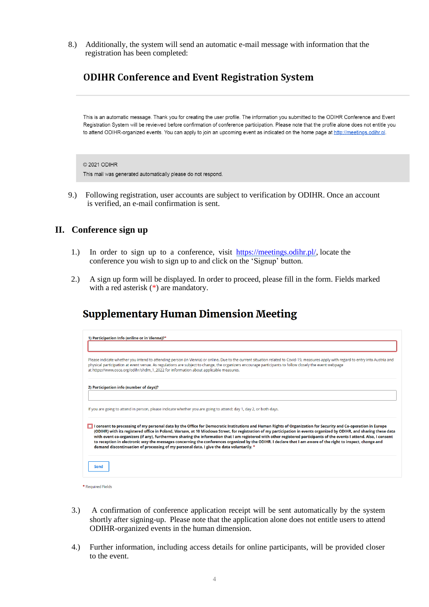8.) Additionally, the system will send an automatic e-mail message with information that the registration has been completed:

# **ODIHR Conference and Event Registration System**

This is an automatic message. Thank you for creating the user profile. The information you submitted to the ODIHR Conference and Event Registration System will be reviewed before confirmation of conference participation. Please note that the profile alone does not entitle you to attend ODIHR-organized events. You can apply to join an upcoming event as indicated on the home page at http://meetings.odihr.pl.

#### © 2021 ODIHR

This mail was generated automatically please do not respond.

9.) Following registration, user accounts are subject to verification by ODIHR. Once an account is verified, an e-mail confirmation is sent.

### **II. Conference sign up**

- 1.) In order to sign up to a conference, visit [https://meetings.odihr.pl/,](https://meetings.odihr.pl/) locate the conference you wish to sign up to and click on the 'Signup' button.
- 2.) A sign up form will be displayed. In order to proceed, please fill in the form. Fields marked with a red asterisk  $(*)$  are mandatory.

# **Supplementary Human Dimension Meeting**

| 1) Participation Info (online or in Vienna)?*                                                                                                                                                                                                                                                                                                                                                                                                                                                                                                                                                                                                                                                                                                                               |
|-----------------------------------------------------------------------------------------------------------------------------------------------------------------------------------------------------------------------------------------------------------------------------------------------------------------------------------------------------------------------------------------------------------------------------------------------------------------------------------------------------------------------------------------------------------------------------------------------------------------------------------------------------------------------------------------------------------------------------------------------------------------------------|
| Please indicate whether you intend to attending person (in Vienna) or online. Due to the current situation related to Covid-19, measures apply with regard to entry into Austria and<br>physical participation at event venue. As regulations are subject to change, the organizers encourage participants to follow closely the event webpage<br>at https://www.osce.org/odihr/shdm_1_2022 for information about applicable measures.                                                                                                                                                                                                                                                                                                                                      |
| 2) Participation info (number of days)?                                                                                                                                                                                                                                                                                                                                                                                                                                                                                                                                                                                                                                                                                                                                     |
| If you are going to attend in person, please indicate whether you are going to attend: day 1, day 2, or both days.                                                                                                                                                                                                                                                                                                                                                                                                                                                                                                                                                                                                                                                          |
| consent to processing of my personal data by the Office for Democratic Institutions and Human Rights of Organization for Security and Co-operation in Europe<br>(ODIHR) with its registered office in Poland, Warsaw, at 10 Miodowa Street, for registration of my participation in events organized by ODIHR, and sharing these data<br>with event co-organizers (if any), furthermore sharing the information that I am registered with other registered participants of the events I attend. Also, I consent<br>to reception in electronic way the messages concerning the conferences organized by the ODIHR. I declare that I am aware of the right to inspect, change and<br>demand discontinuation of processing of my personal data. I give the data voluntarily. * |
| Send                                                                                                                                                                                                                                                                                                                                                                                                                                                                                                                                                                                                                                                                                                                                                                        |

\* Required Fields

- 3.) A confirmation of conference application receipt will be sent automatically by the system shortly after signing-up. Please note that the application alone does not entitle users to attend ODIHR-organized events in the human dimension.
- 4.) Further information, including access details for online participants, will be provided closer to the event.